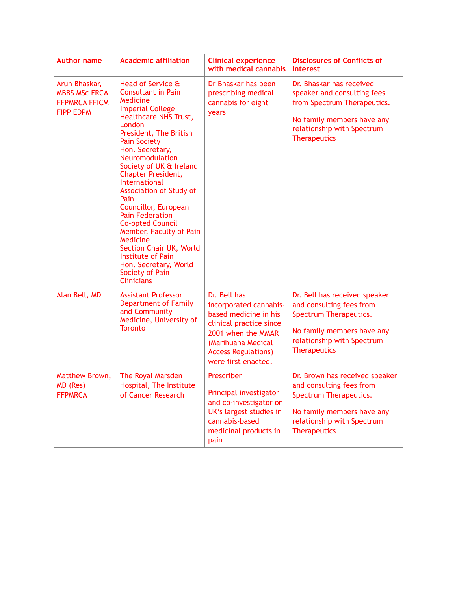| <b>Author name</b>                                                                | <b>Academic affiliation</b>                                                                                                                                                                                                                                                                                                                                                                                                                                                                                                                                                           | <b>Clinical experience</b><br>with medical cannabis                                                                                                                                         | <b>Disclosures of Conflicts of</b><br><b>Interest</b>                                                                                                                     |
|-----------------------------------------------------------------------------------|---------------------------------------------------------------------------------------------------------------------------------------------------------------------------------------------------------------------------------------------------------------------------------------------------------------------------------------------------------------------------------------------------------------------------------------------------------------------------------------------------------------------------------------------------------------------------------------|---------------------------------------------------------------------------------------------------------------------------------------------------------------------------------------------|---------------------------------------------------------------------------------------------------------------------------------------------------------------------------|
| Arun Bhaskar,<br><b>MBBS MSc FRCA</b><br><b>FFPMRCA FFICM</b><br><b>FIPP EDPM</b> | Head of Service &<br><b>Consultant in Pain</b><br>Medicine<br><b>Imperial College</b><br>Healthcare NHS Trust,<br>London<br>President, The British<br><b>Pain Society</b><br>Hon. Secretary,<br>Neuromodulation<br>Society of UK & Ireland<br><b>Chapter President,</b><br><b>International</b><br><b>Association of Study of</b><br>Pain<br>Councillor, European<br><b>Pain Federation</b><br><b>Co-opted Council</b><br>Member, Faculty of Pain<br>Medicine<br>Section Chair UK, World<br><b>Institute of Pain</b><br>Hon. Secretary, World<br>Society of Pain<br><b>Clinicians</b> | Dr Bhaskar has been<br>prescribing medical<br>cannabis for eight<br>years                                                                                                                   | Dr. Bhaskar has received<br>speaker and consulting fees<br>from Spectrum Therapeutics.<br>No family members have any<br>relationship with Spectrum<br><b>Therapeutics</b> |
| Alan Bell, MD                                                                     | <b>Assistant Professor</b><br><b>Department of Family</b><br>and Community<br>Medicine, University of<br><b>Toronto</b>                                                                                                                                                                                                                                                                                                                                                                                                                                                               | Dr. Bell has<br>incorporated cannabis-<br>based medicine in his<br>clinical practice since<br>2001 when the MMAR<br>(Marihuana Medical<br><b>Access Regulations)</b><br>were first enacted. | Dr. Bell has received speaker<br>and consulting fees from<br>Spectrum Therapeutics.<br>No family members have any<br>relationship with Spectrum<br><b>Therapeutics</b>    |
| Matthew Brown,<br>MD (Res)<br><b>FFPMRCA</b>                                      | The Royal Marsden<br>Hospital, The Institute<br>of Cancer Research                                                                                                                                                                                                                                                                                                                                                                                                                                                                                                                    | Prescriber<br>Principal investigator<br>and co-investigator on<br>UK's largest studies in<br>cannabis-based<br>medicinal products in<br>pain                                                | Dr. Brown has received speaker<br>and consulting fees from<br>Spectrum Therapeutics.<br>No family members have any<br>relationship with Spectrum<br><b>Therapeutics</b>   |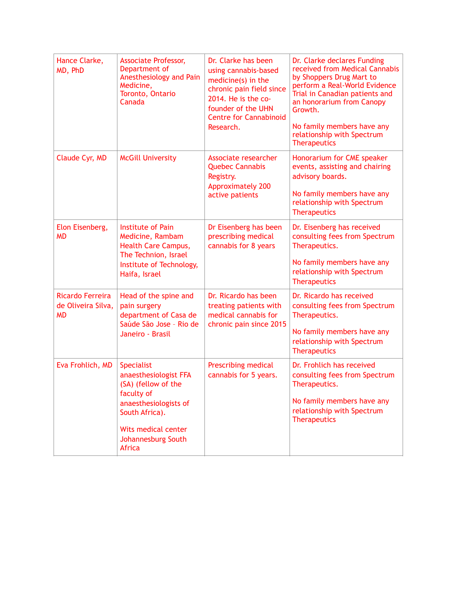| Hance Clarke,<br>MD, PhD                            | <b>Associate Professor,</b><br>Department of<br>Anesthesiology and Pain<br>Medicine,<br>Toronto, Ontario<br>Canada                                                         | Dr. Clarke has been<br>using cannabis-based<br>medicine(s) in the<br>chronic pain field since<br>2014. He is the co-<br>founder of the UHN<br><b>Centre for Cannabinoid</b><br>Research. | Dr. Clarke declares Funding<br>received from Medical Cannabis<br>by Shoppers Drug Mart to<br>perform a Real-World Evidence<br>Trial in Canadian patients and<br>an honorarium from Canopy<br>Growth.<br>No family members have any<br>relationship with Spectrum<br><b>Therapeutics</b> |
|-----------------------------------------------------|----------------------------------------------------------------------------------------------------------------------------------------------------------------------------|------------------------------------------------------------------------------------------------------------------------------------------------------------------------------------------|-----------------------------------------------------------------------------------------------------------------------------------------------------------------------------------------------------------------------------------------------------------------------------------------|
| Claude Cyr, MD                                      | <b>McGill University</b>                                                                                                                                                   | Associate researcher<br><b>Quebec Cannabis</b><br>Registry.<br><b>Approximately 200</b><br>active patients                                                                               | Honorarium for CME speaker<br>events, assisting and chairing<br>advisory boards.<br>No family members have any<br>relationship with Spectrum<br><b>Therapeutics</b>                                                                                                                     |
| Elon Eisenberg,<br><b>MD</b>                        | Institute of Pain<br>Medicine, Rambam<br>Health Care Campus,<br>The Technion, Israel<br>Institute of Technology,<br>Haifa, Israel                                          | Dr Eisenberg has been<br>prescribing medical<br>cannabis for 8 years                                                                                                                     | Dr. Eisenberg has received<br>consulting fees from Spectrum<br>Therapeutics.<br>No family members have any<br>relationship with Spectrum<br><b>Therapeutics</b>                                                                                                                         |
| Ricardo Ferreira<br>de Oliveira Silva,<br><b>MD</b> | Head of the spine and<br>pain surgery<br>department of Casa de<br>Saúde São Jose - Rio de<br>Janeiro - Brasil                                                              | Dr. Ricardo has been<br>treating patients with<br>medical cannabis for<br>chronic pain since 2015                                                                                        | Dr. Ricardo has received<br>consulting fees from Spectrum<br>Therapeutics.<br>No family members have any<br>relationship with Spectrum<br><b>Therapeutics</b>                                                                                                                           |
| Eva Frohlich, MD                                    | Specialist<br>anaesthesiologist FFA<br>(SA) (fellow of the<br>faculty of<br>anaesthesiologists of<br>South Africa).<br>Wits medical center<br>Johannesburg South<br>Africa | Prescribing medical<br>cannabis for 5 years.                                                                                                                                             | Dr. Frohlich has received<br>consulting fees from Spectrum<br>Therapeutics.<br>No family members have any<br>relationship with Spectrum<br><b>Therapeutics</b>                                                                                                                          |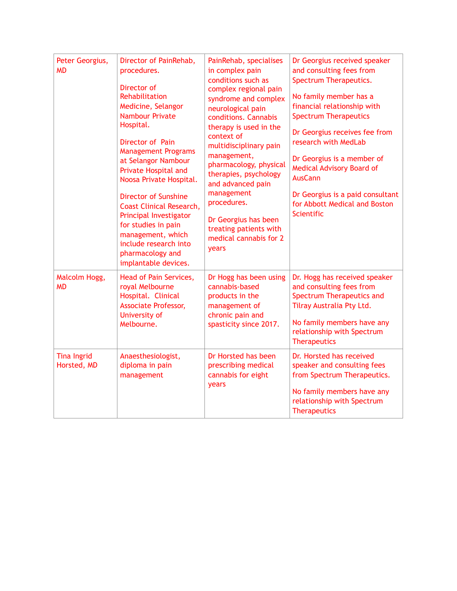| Peter Georgius,<br><b>MD</b>      | Director of PainRehab,<br>procedures.<br>Director of<br>Rehabilitation<br>Medicine, Selangor<br><b>Nambour Private</b><br>Hospital.<br>Director of Pain<br><b>Management Programs</b><br>at Selangor Nambour<br>Private Hospital and<br>Noosa Private Hospital.<br><b>Director of Sunshine</b><br><b>Coast Clinical Research,</b><br>Principal Investigator<br>for studies in pain<br>management, which<br>include research into<br>pharmacology and<br>implantable devices. | PainRehab, specialises<br>in complex pain<br>conditions such as<br>complex regional pain<br>syndrome and complex<br>neurological pain<br>conditions. Cannabis<br>therapy is used in the<br>context of<br>multidisciplinary pain<br>management,<br>pharmacology, physical<br>therapies, psychology<br>and advanced pain<br>management<br>procedures.<br>Dr Georgius has been<br>treating patients with<br>medical cannabis for 2<br>years | Dr Georgius received speaker<br>and consulting fees from<br>Spectrum Therapeutics.<br>No family member has a<br>financial relationship with<br><b>Spectrum Therapeutics</b><br>Dr Georgius receives fee from<br>research with MedLab<br>Dr Georgius is a member of<br><b>Medical Advisory Board of</b><br><b>AusCann</b><br>Dr Georgius is a paid consultant<br>for Abbott Medical and Boston<br>Scientific |
|-----------------------------------|------------------------------------------------------------------------------------------------------------------------------------------------------------------------------------------------------------------------------------------------------------------------------------------------------------------------------------------------------------------------------------------------------------------------------------------------------------------------------|------------------------------------------------------------------------------------------------------------------------------------------------------------------------------------------------------------------------------------------------------------------------------------------------------------------------------------------------------------------------------------------------------------------------------------------|-------------------------------------------------------------------------------------------------------------------------------------------------------------------------------------------------------------------------------------------------------------------------------------------------------------------------------------------------------------------------------------------------------------|
| Malcolm Hogg,<br><b>MD</b>        | Head of Pain Services,<br>royal Melbourne<br>Hospital. Clinical<br><b>Associate Professor,</b><br>University of<br>Melbourne.                                                                                                                                                                                                                                                                                                                                                | Dr Hogg has been using<br>cannabis-based<br>products in the<br>management of<br>chronic pain and<br>spasticity since 2017.                                                                                                                                                                                                                                                                                                               | Dr. Hogg has received speaker<br>and consulting fees from<br>Spectrum Therapeutics and<br>Tilray Australia Pty Ltd.<br>No family members have any<br>relationship with Spectrum<br><b>Therapeutics</b>                                                                                                                                                                                                      |
| <b>Tina Ingrid</b><br>Horsted, MD | Anaesthesiologist,<br>diploma in pain<br>management                                                                                                                                                                                                                                                                                                                                                                                                                          | Dr Horsted has been<br>prescribing medical<br>cannabis for eight<br>years                                                                                                                                                                                                                                                                                                                                                                | Dr. Horsted has received<br>speaker and consulting fees<br>from Spectrum Therapeutics.<br>No family members have any<br>relationship with Spectrum<br><b>Therapeutics</b>                                                                                                                                                                                                                                   |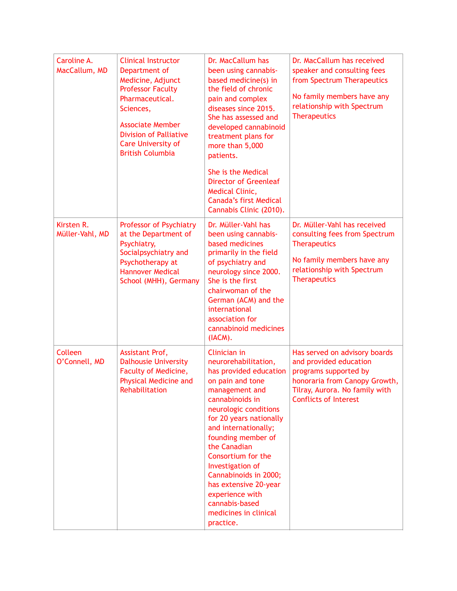| Caroline A.<br>MacCallum, MD  | <b>Clinical Instructor</b><br>Department of<br>Medicine, Adjunct<br><b>Professor Faculty</b><br>Pharmaceutical.<br>Sciences,<br><b>Associate Member</b><br><b>Division of Palliative</b><br><b>Care University of</b><br><b>British Columbia</b> | Dr. MacCallum has<br>been using cannabis-<br>based medicine(s) in<br>the field of chronic<br>pain and complex<br>diseases since 2015.<br>She has assessed and<br>developed cannabinoid<br>treatment plans for<br>more than 5,000<br>patients.<br>She is the Medical<br><b>Director of Greenleaf</b><br>Medical Clinic,<br><b>Canada's first Medical</b><br>Cannabis Clinic (2010).                               | Dr. MacCallum has received<br>speaker and consulting fees<br>from Spectrum Therapeutics<br>No family members have any<br>relationship with Spectrum<br><b>Therapeutics</b>          |
|-------------------------------|--------------------------------------------------------------------------------------------------------------------------------------------------------------------------------------------------------------------------------------------------|------------------------------------------------------------------------------------------------------------------------------------------------------------------------------------------------------------------------------------------------------------------------------------------------------------------------------------------------------------------------------------------------------------------|-------------------------------------------------------------------------------------------------------------------------------------------------------------------------------------|
| Kirsten R.<br>Müller-Vahl, MD | Professor of Psychiatry<br>at the Department of<br>Psychiatry,<br>Socialpsychiatry and<br>Psychotherapy at<br><b>Hannover Medical</b><br>School (MHH), Germany                                                                                   | Dr. Müller-Vahl has<br>been using cannabis-<br>based medicines<br>primarily in the field<br>of psychiatry and<br>neurology since 2000.<br>She is the first<br>chairwoman of the<br>German (ACM) and the<br>international<br>association for<br>cannabinoid medicines<br>(IACM).                                                                                                                                  | Dr. Müller-Vahl has received<br>consulting fees from Spectrum<br><b>Therapeutics</b><br>No family members have any<br>relationship with Spectrum<br><b>Therapeutics</b>             |
| Colleen<br>O'Connell, MD      | Assistant Prof,<br><b>Dalhousie University</b><br>Faculty of Medicine,<br><b>Physical Medicine and</b><br>Rehabilitation                                                                                                                         | Clinician in<br>neurorehabilitation,<br>has provided education<br>on pain and tone<br>management and<br>cannabinoids in<br>neurologic conditions<br>for 20 years nationally<br>and internationally;<br>founding member of<br>the Canadian<br>Consortium for the<br>Investigation of<br>Cannabinoids in 2000;<br>has extensive 20-year<br>experience with<br>cannabis-based<br>medicines in clinical<br>practice. | Has served on advisory boards<br>and provided education<br>programs supported by<br>honoraria from Canopy Growth,<br>Tilray, Aurora. No family with<br><b>Conflicts of Interest</b> |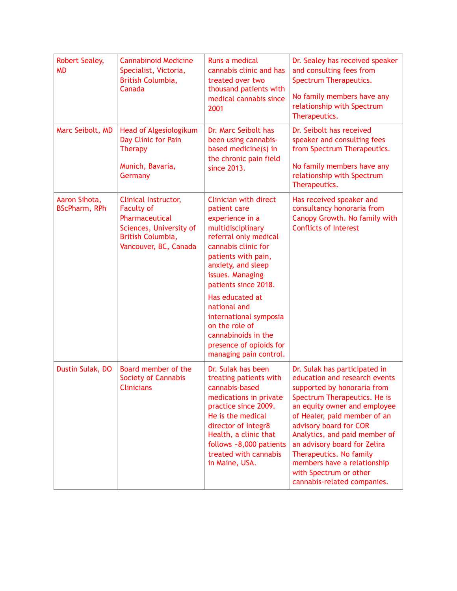| <b>Robert Sealey,</b><br><b>MD</b>    | <b>Cannabinoid Medicine</b><br>Specialist, Victoria,<br>British Columbia,<br>Canada                                                  | Runs a medical<br>cannabis clinic and has<br>treated over two<br>thousand patients with<br>medical cannabis since<br>2001                                                                                                                                                                                                                                                                | Dr. Sealey has received speaker<br>and consulting fees from<br>Spectrum Therapeutics.<br>No family members have any<br>relationship with Spectrum<br>Therapeutics.                                                                                                                                                                                                                                          |
|---------------------------------------|--------------------------------------------------------------------------------------------------------------------------------------|------------------------------------------------------------------------------------------------------------------------------------------------------------------------------------------------------------------------------------------------------------------------------------------------------------------------------------------------------------------------------------------|-------------------------------------------------------------------------------------------------------------------------------------------------------------------------------------------------------------------------------------------------------------------------------------------------------------------------------------------------------------------------------------------------------------|
| Marc Seibolt, MD                      | Head of Algesiologikum<br>Day Clinic for Pain<br><b>Therapy</b><br>Munich, Bavaria,<br>Germany                                       | Dr. Marc Seibolt has<br>been using cannabis-<br>based medicine(s) in<br>the chronic pain field<br>since 2013.                                                                                                                                                                                                                                                                            | Dr. Seibolt has received<br>speaker and consulting fees<br>from Spectrum Therapeutics.<br>No family members have any<br>relationship with Spectrum<br>Therapeutics.                                                                                                                                                                                                                                         |
| Aaron Sihota,<br><b>BScPharm, RPh</b> | Clinical Instructor,<br><b>Faculty of</b><br>Pharmaceutical<br>Sciences, University of<br>British Columbia,<br>Vancouver, BC, Canada | <b>Clinician with direct</b><br>patient care<br>experience in a<br>multidisciplinary<br>referral only medical<br>cannabis clinic for<br>patients with pain,<br>anxiety, and sleep<br>issues. Managing<br>patients since 2018.<br>Has educated at<br>national and<br>international symposia<br>on the role of<br>cannabinoids in the<br>presence of opioids for<br>managing pain control. | Has received speaker and<br>consultancy honoraria from<br>Canopy Growth. No family with<br><b>Conflicts of Interest</b>                                                                                                                                                                                                                                                                                     |
| Dustin Sulak, DO                      | Board member of the<br><b>Society of Cannabis</b><br><b>Clinicians</b>                                                               | Dr. Sulak has been<br>treating patients with<br>cannabis-based<br>medications in private<br>practice since 2009.<br>He is the medical<br>director of Integr8<br>Health, a clinic that<br>follows ~8,000 patients<br>treated with cannabis<br>in Maine, USA.                                                                                                                              | Dr. Sulak has participated in<br>education and research events<br>supported by honoraria from<br>Spectrum Therapeutics. He is<br>an equity owner and employee<br>of Healer, paid member of an<br>advisory board for COR<br>Analytics, and paid member of<br>an advisory board for Zelira<br>Therapeutics. No family<br>members have a relationship<br>with Spectrum or other<br>cannabis-related companies. |